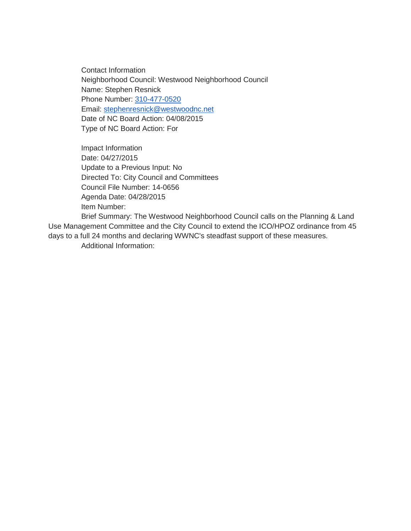Contact Information Neighborhood Council: Westwood Neighborhood Council Name: Stephen Resnick Phone Number: [310-477-0520](tel:310-477-0520) Email: [stephenresnick@westwoodnc.net](mailto:stephenresnick@westwoodnc.net) Date of NC Board Action: 04/08/2015 Type of NC Board Action: For

Impact Information Date: 04/27/2015 Update to a Previous Input: No Directed To: City Council and Committees Council File Number: 14-0656 Agenda Date: 04/28/2015 Item Number:

Brief Summary: The Westwood Neighborhood Council calls on the Planning & Land Use Management Committee and the City Council to extend the ICO/HPOZ ordinance from 45 days to a full 24 months and declaring WWNC's steadfast support of these measures. Additional Information: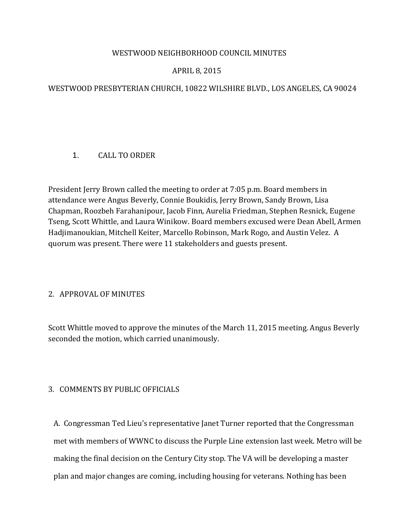### WESTWOOD NEIGHBORHOOD COUNCIL MINUTES

# APRIL 8, 2015

# WESTWOOD PRESBYTERIAN CHURCH, 10822 WILSHIRE BLVD., LOS ANGELES, CA 90024

# 1. CALL TO ORDER

President Jerry Brown called the meeting to order at 7:05 p.m. Board members in attendance were Angus Beverly, Connie Boukidis, Jerry Brown, Sandy Brown, Lisa Chapman, Roozbeh Farahanipour, Jacob Finn, Aurelia Friedman, Stephen Resnick, Eugene Tseng, Scott Whittle, and Laura Winikow. Board members excused were Dean Abell, Armen Hadjimanoukian, Mitchell Keiter, Marcello Robinson, Mark Rogo, and Austin Velez. A quorum was present. There were 11 stakeholders and guests present.

### 2. APPROVAL OF MINUTES

Scott Whittle moved to approve the minutes of the March 11, 2015 meeting. Angus Beverly seconded the motion, which carried unanimously.

# 3. COMMENTS BY PUBLIC OFFICIALS

 A. Congressman Ted Lieu's representative Janet Turner reported that the Congressman met with members of WWNC to discuss the Purple Line extension last week. Metro will be making the final decision on the Century City stop. The VA will be developing a master plan and major changes are coming, including housing for veterans. Nothing has been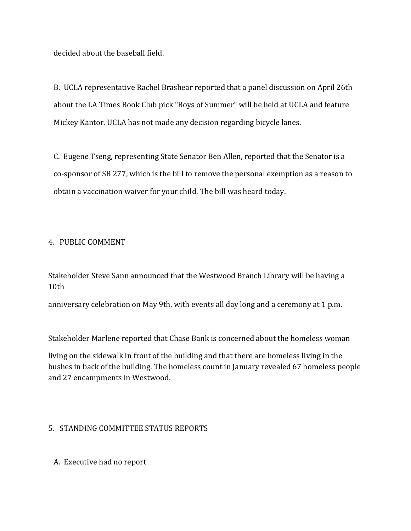decided about the baseball field.

 B. UCLA representative Rachel Brashear reported that a panel discussion on April 26th about the LA Times Book Club pick "Boys of Summer" will be held at UCLA and feature Mickey Kantor. UCLA has not made any decision regarding bicycle lanes.

 C. Eugene Tseng, representing State Senator Ben Allen, reported that the Senator is a co-sponsor of SB 277, which is the bill to remove the personal exemption as a reason to obtain a vaccination waiver for your child. The bill was heard today.

### 4. PUBLIC COMMENT

Stakeholder Steve Sann announced that the Westwood Branch Library will be having a 10th

anniversary celebration on May 9th, with events all day long and a ceremony at 1 p.m.

Stakeholder Marlene reported that Chase Bank is concerned about the homeless woman

living on the sidewalk in front of the building and that there are homeless living in the bushes in back of the building. The homeless count in January revealed 67 homeless people and 27 encampments in Westwood.

# 5. STANDING COMMITTEE STATUS REPORTS

A. Executive had no report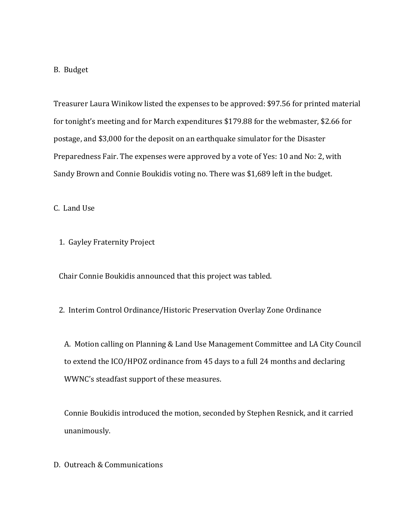#### B. Budget

 Treasurer Laura Winikow listed the expenses to be approved: \$97.56 for printed material for tonight's meeting and for March expenditures \$179.88 for the webmaster, \$2.66 for postage, and \$3,000 for the deposit on an earthquake simulator for the Disaster Preparedness Fair. The expenses were approved by a vote of Yes: 10 and No: 2, with Sandy Brown and Connie Boukidis voting no. There was \$1,689 left in the budget.

C. Land Use

1. Gayley Fraternity Project

Chair Connie Boukidis announced that this project was tabled.

2. Interim Control Ordinance/Historic Preservation Overlay Zone Ordinance

 A. Motion calling on Planning & Land Use Management Committee and LA City Council to extend the ICO/HPOZ ordinance from 45 days to a full 24 months and declaring WWNC's steadfast support of these measures.

 Connie Boukidis introduced the motion, seconded by Stephen Resnick, and it carried unanimously.

D. Outreach & Communications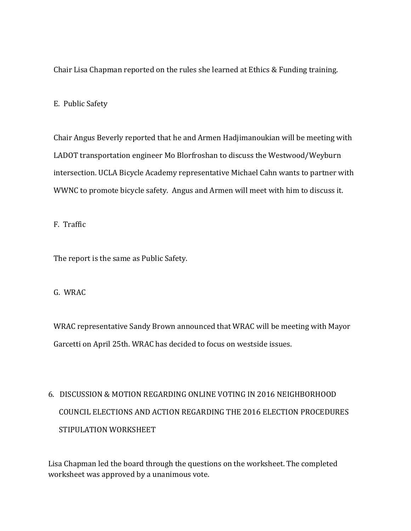Chair Lisa Chapman reported on the rules she learned at Ethics & Funding training.

### E. Public Safety

 Chair Angus Beverly reported that he and Armen Hadjimanoukian will be meeting with LADOT transportation engineer Mo Blorfroshan to discuss the Westwood/Weyburn intersection. UCLA Bicycle Academy representative Michael Cahn wants to partner with WWNC to promote bicycle safety. Angus and Armen will meet with him to discuss it.

F. Traffic

The report is the same as Public Safety.

### G. WRAC

 WRAC representative Sandy Brown announced that WRAC will be meeting with Mayor Garcetti on April 25th. WRAC has decided to focus on westside issues.

# 6. DISCUSSION & MOTION REGARDING ONLINE VOTING IN 2016 NEIGHBORHOOD COUNCIL ELECTIONS AND ACTION REGARDING THE 2016 ELECTION PROCEDURES STIPULATION WORKSHEET

Lisa Chapman led the board through the questions on the worksheet. The completed worksheet was approved by a unanimous vote.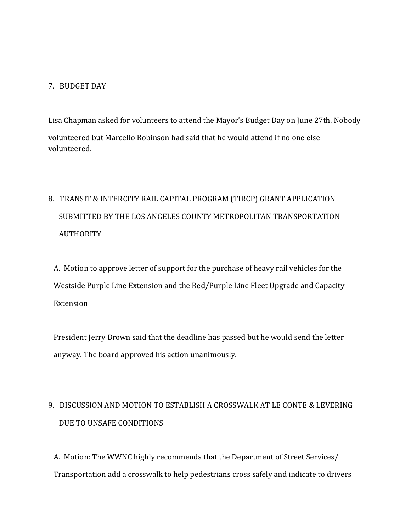### 7. BUDGET DAY

Lisa Chapman asked for volunteers to attend the Mayor's Budget Day on June 27th. Nobody volunteered but Marcello Robinson had said that he would attend if no one else volunteered.

# 8. TRANSIT & INTERCITY RAIL CAPITAL PROGRAM (TIRCP) GRANT APPLICATION SUBMITTED BY THE LOS ANGELES COUNTY METROPOLITAN TRANSPORTATION AUTHORITY

 A. Motion to approve letter of support for the purchase of heavy rail vehicles for the Westside Purple Line Extension and the Red/Purple Line Fleet Upgrade and Capacity Extension

 President Jerry Brown said that the deadline has passed but he would send the letter anyway. The board approved his action unanimously.

# 9. DISCUSSION AND MOTION TO ESTABLISH A CROSSWALK AT LE CONTE & LEVERING DUE TO UNSAFE CONDITIONS

 A. Motion: The WWNC highly recommends that the Department of Street Services/ Transportation add a crosswalk to help pedestrians cross safely and indicate to drivers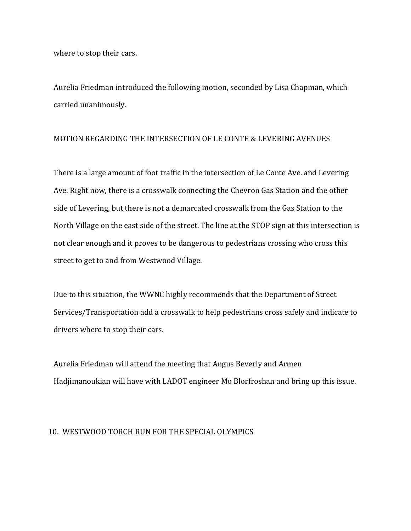where to stop their cars.

 Aurelia Friedman introduced the following motion, seconded by Lisa Chapman, which carried unanimously.

#### MOTION REGARDING THE INTERSECTION OF LE CONTE & LEVERING AVENUES

 There is a large amount of foot traffic in the intersection of Le Conte Ave. and Levering Ave. Right now, there is a crosswalk connecting the Chevron Gas Station and the other side of Levering, but there is not a demarcated crosswalk from the Gas Station to the North Village on the east side of the street. The line at the STOP sign at this intersection is not clear enough and it proves to be dangerous to pedestrians crossing who cross this street to get to and from Westwood Village.

 Due to this situation, the WWNC highly recommends that the Department of Street Services/Transportation add a crosswalk to help pedestrians cross safely and indicate to drivers where to stop their cars.

 Aurelia Friedman will attend the meeting that Angus Beverly and Armen Hadjimanoukian will have with LADOT engineer Mo Blorfroshan and bring up this issue.

### 10. WESTWOOD TORCH RUN FOR THE SPECIAL OLYMPICS